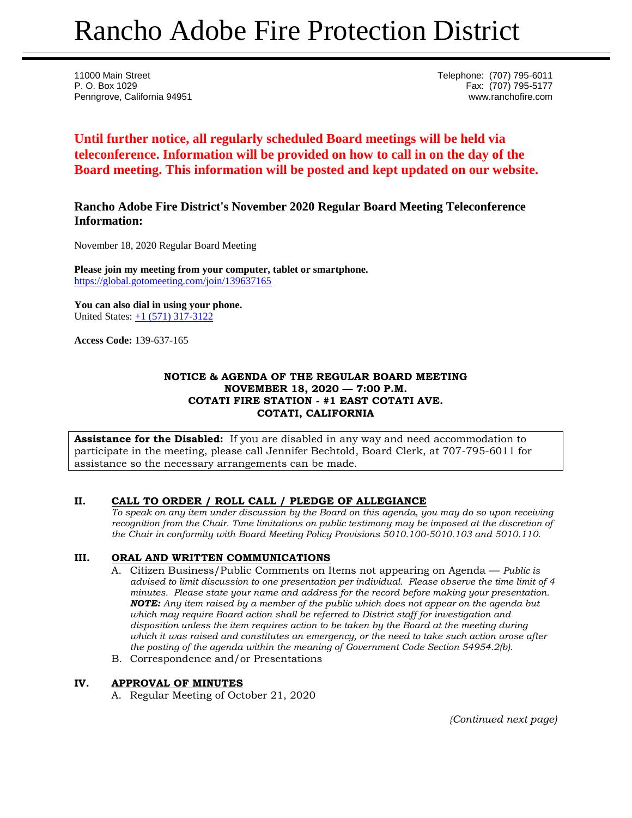# Rancho Adobe Fire Protection District

11000 Main Street Telephone: (707) 795-6011 P. O. Box 1029 Fax: (707) 795-5177 Penngrove, California 94951 www.ranchofire.com

**Until further notice, all regularly scheduled Board meetings will be held via teleconference. Information will be provided on how to call in on the day of the Board meeting. This information will be posted and kept updated on our website.**

## **Rancho Adobe Fire District's November 2020 Regular Board Meeting Teleconference Information:**

November 18, 2020 Regular Board Meeting

**Please join my meeting from your computer, tablet or smartphone.**  <https://global.gotomeeting.com/join/139637165>

**You can also dial in using your phone.** United States: [+1 \(571\) 317-3122](tel:+15713173122,,139637165)

**Access Code:** 139-637-165

#### **NOTICE & AGENDA OF THE REGULAR BOARD MEETING NOVEMBER 18, 2020 — 7:00 P.M. COTATI FIRE STATION - #1 EAST COTATI AVE. COTATI, CALIFORNIA**

**Assistance for the Disabled:** If you are disabled in any way and need accommodation to participate in the meeting, please call Jennifer Bechtold, Board Clerk, at 707-795-6011 for assistance so the necessary arrangements can be made.

## **II. CALL TO ORDER / ROLL CALL / PLEDGE OF ALLEGIANCE**

*To speak on any item under discussion by the Board on this agenda, you may do so upon receiving recognition from the Chair. Time limitations on public testimony may be imposed at the discretion of the Chair in conformity with Board Meeting Policy Provisions 5010.100-5010.103 and 5010.110.*

## **III. ORAL AND WRITTEN COMMUNICATIONS**

- A. Citizen Business/Public Comments on Items not appearing on Agenda *Public is advised to limit discussion to one presentation per individual. Please observe the time limit of 4 minutes. Please state your name and address for the record before making your presentation. NOTE: Any item raised by a member of the public which does not appear on the agenda but which may require Board action shall be referred to District staff for investigation and disposition unless the item requires action to be taken by the Board at the meeting during which it was raised and constitutes an emergency, or the need to take such action arose after the posting of the agenda within the meaning of Government Code Section 54954.2(b).*
- B. Correspondence and/or Presentations

## **IV. APPROVAL OF MINUTES**

A. Regular Meeting of October 21, 2020

*{Continued next page)*